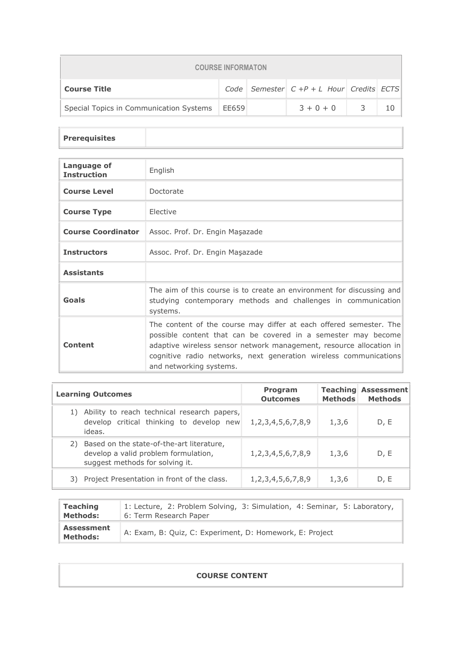| <b>COURSE INFORMATON</b>                        |  |  |                                                   |  |  |  |
|-------------------------------------------------|--|--|---------------------------------------------------|--|--|--|
| <b>Course Title</b>                             |  |  | Code   Semester   $C + P + L$ Hour   Credits ECTS |  |  |  |
| Special Topics in Communication Systems   EE659 |  |  | $3 + 0 + 0$                                       |  |  |  |

## **Prerequisites**

| Language of<br><b>Instruction</b> | English                                                                                                                                                                                                                                                                                                    |
|-----------------------------------|------------------------------------------------------------------------------------------------------------------------------------------------------------------------------------------------------------------------------------------------------------------------------------------------------------|
| <b>Course Level</b>               | Doctorate                                                                                                                                                                                                                                                                                                  |
| <b>Course Type</b>                | <b>Flective</b>                                                                                                                                                                                                                                                                                            |
|                                   | <b>Course Coordinator</b>   Assoc. Prof. Dr. Engin Masazade                                                                                                                                                                                                                                                |
| <b>Instructors</b>                | Assoc. Prof. Dr. Engin Maşazade                                                                                                                                                                                                                                                                            |
| <b>Assistants</b>                 |                                                                                                                                                                                                                                                                                                            |
| Goals                             | The aim of this course is to create an environment for discussing and<br>studying contemporary methods and challenges in communication<br>systems.                                                                                                                                                         |
| Content                           | The content of the course may differ at each offered semester. The<br>possible content that can be covered in a semester may become<br>adaptive wireless sensor network management, resource allocation in<br>cognitive radio networks, next generation wireless communications<br>and networking systems. |

| <b>Learning Outcomes</b>                                                                                                   | <b>Program</b><br><b>Outcomes</b> | <b>Methods</b> | <b>Teaching Assessment</b><br><b>Methods</b> |
|----------------------------------------------------------------------------------------------------------------------------|-----------------------------------|----------------|----------------------------------------------|
| Ability to reach technical research papers,<br>1)<br>develop critical thinking to develop new<br>ideas.                    | 1, 2, 3, 4, 5, 6, 7, 8, 9         | 1,3,6          | D, E                                         |
| Based on the state-of-the-art literature,<br>2)<br>develop a valid problem formulation,<br>suggest methods for solving it. | 1, 2, 3, 4, 5, 6, 7, 8, 9         | 1,3,6          | D, E                                         |
| Project Presentation in front of the class.<br>3)                                                                          | 1, 2, 3, 4, 5, 6, 7, 8, 9         | 1,3,6          | D, E                                         |

| <b>Teaching</b>                      | 1: Lecture, 2: Problem Solving, 3: Simulation, 4: Seminar, 5: Laboratory, |
|--------------------------------------|---------------------------------------------------------------------------|
| <b>Methods:</b>                      | 6: Term Research Paper                                                    |
| <b>Assessment</b><br><b>Methods:</b> | A: Exam, B: Quiz, C: Experiment, D: Homework, E: Project                  |

## **COURSE CONTENT**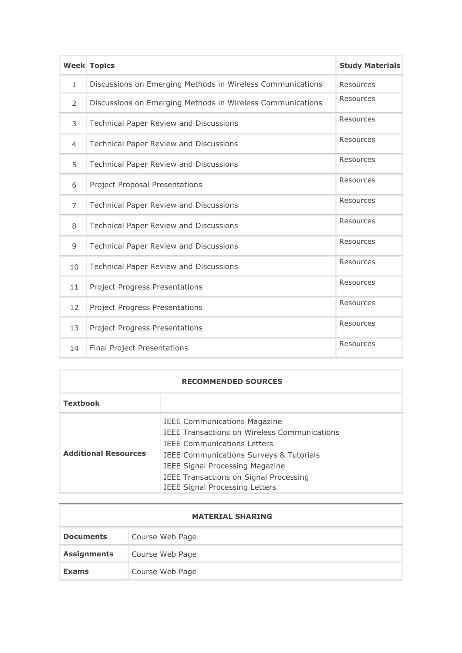|                | <b>Week Topics</b>                                         | <b>Study Materials</b> |
|----------------|------------------------------------------------------------|------------------------|
| $\mathbf{1}$   | Discussions on Emerging Methods in Wireless Communications | <b>Resources</b>       |
| $\overline{2}$ | Discussions on Emerging Methods in Wireless Communications | <b>Resources</b>       |
| 3              | Technical Paper Review and Discussions                     | Resources              |
| $\overline{4}$ | Technical Paper Review and Discussions                     | Resources              |
| 5              | Technical Paper Review and Discussions                     | <b>Resources</b>       |
| 6              | <b>Project Proposal Presentations</b>                      | Resources              |
| $\overline{7}$ | <b>Technical Paper Review and Discussions</b>              | Resources              |
| 8              | <b>Technical Paper Review and Discussions</b>              | Resources              |
| 9              | <b>Technical Paper Review and Discussions</b>              | Resources              |
| 10             | Technical Paper Review and Discussions                     | Resources              |
| 11             | <b>Project Progress Presentations</b>                      | Resources              |
| 12             | <b>Project Progress Presentations</b>                      | <b>Resources</b>       |
| 13             | <b>Project Progress Presentations</b>                      | <b>Resources</b>       |
| 14             | <b>Final Project Presentations</b>                         | Resources              |

| <b>RECOMMENDED SOURCES</b>  |                                                                                                                                                                                                                                                                                                                            |  |  |  |
|-----------------------------|----------------------------------------------------------------------------------------------------------------------------------------------------------------------------------------------------------------------------------------------------------------------------------------------------------------------------|--|--|--|
| <b>Textbook</b>             |                                                                                                                                                                                                                                                                                                                            |  |  |  |
| <b>Additional Resources</b> | <b>IEEE Communications Magazine</b><br><b>IEEE Transactions on Wireless Communications</b><br><b>IFFF Communications Letters</b><br><b>IEEE Communications Surveys &amp; Tutorials</b><br><b>IEEE Signal Processing Magazine</b><br><b>IEEE Transactions on Signal Processing</b><br><b>IEEE Signal Processing Letters</b> |  |  |  |

| <b>MATERIAL SHARING</b> |                 |  |  |
|-------------------------|-----------------|--|--|
| <b>Documents</b>        | Course Web Page |  |  |
| <b>Assignments</b>      | Course Web Page |  |  |
| <b>Exams</b>            | Course Web Page |  |  |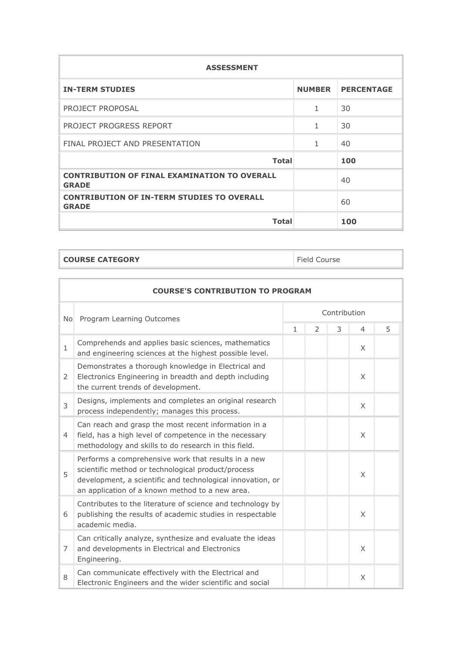| <b>ASSESSMENT</b>                                                   |               |                   |  |  |  |
|---------------------------------------------------------------------|---------------|-------------------|--|--|--|
| <b>IN-TERM STUDIES</b>                                              | <b>NUMBER</b> | <b>PERCENTAGE</b> |  |  |  |
| PROJECT PROPOSAL                                                    | 1             | 30                |  |  |  |
| PROJECT PROGRESS REPORT                                             | 1             | 30                |  |  |  |
| FINAL PROJECT AND PRESENTATION                                      | 1             | 40                |  |  |  |
| <b>Total</b>                                                        |               | 100               |  |  |  |
| <b>CONTRIBUTION OF FINAL EXAMINATION TO OVERALL</b><br><b>GRADE</b> |               | 40                |  |  |  |
| <b>CONTRIBUTION OF IN-TERM STUDIES TO OVERALL</b><br><b>GRADE</b>   |               | 60                |  |  |  |
| <b>Total</b>                                                        |               | 100               |  |  |  |

```
COURSE CATEGORY Field Course
```

| <b>COURSE'S CONTRIBUTION TO PROGRAM</b>                     |                                                                                                                                                                                                                            |              |               |   |                |   |
|-------------------------------------------------------------|----------------------------------------------------------------------------------------------------------------------------------------------------------------------------------------------------------------------------|--------------|---------------|---|----------------|---|
| Contribution<br>Program Learning Outcomes<br>N <sub>o</sub> |                                                                                                                                                                                                                            |              |               |   |                |   |
|                                                             |                                                                                                                                                                                                                            | $\mathbf{1}$ | $\mathcal{P}$ | 3 | $\overline{4}$ | 5 |
| $\mathbf{1}$                                                | Comprehends and applies basic sciences, mathematics<br>and engineering sciences at the highest possible level.                                                                                                             |              |               |   | X              |   |
| 2                                                           | Demonstrates a thorough knowledge in Electrical and<br>Electronics Engineering in breadth and depth including<br>the current trends of development.                                                                        |              |               |   | $\times$       |   |
| $\overline{3}$                                              | Designs, implements and completes an original research<br>process independently; manages this process.                                                                                                                     |              |               |   | X              |   |
| $\overline{4}$                                              | Can reach and grasp the most recent information in a<br>field, has a high level of competence in the necessary<br>methodology and skills to do research in this field.                                                     |              |               |   | $\times$       |   |
| 5                                                           | Performs a comprehensive work that results in a new<br>scientific method or technological product/process<br>development, a scientific and technological innovation, or<br>an application of a known method to a new area. |              |               |   | X              |   |
| 6                                                           | Contributes to the literature of science and technology by<br>publishing the results of academic studies in respectable<br>academic media.                                                                                 |              |               |   | X              |   |
| 7                                                           | Can critically analyze, synthesize and evaluate the ideas<br>and developments in Electrical and Electronics<br>Engineering.                                                                                                |              |               |   | X              |   |
| 8                                                           | Can communicate effectively with the Electrical and<br>Electronic Engineers and the wider scientific and social                                                                                                            |              |               |   | X              |   |